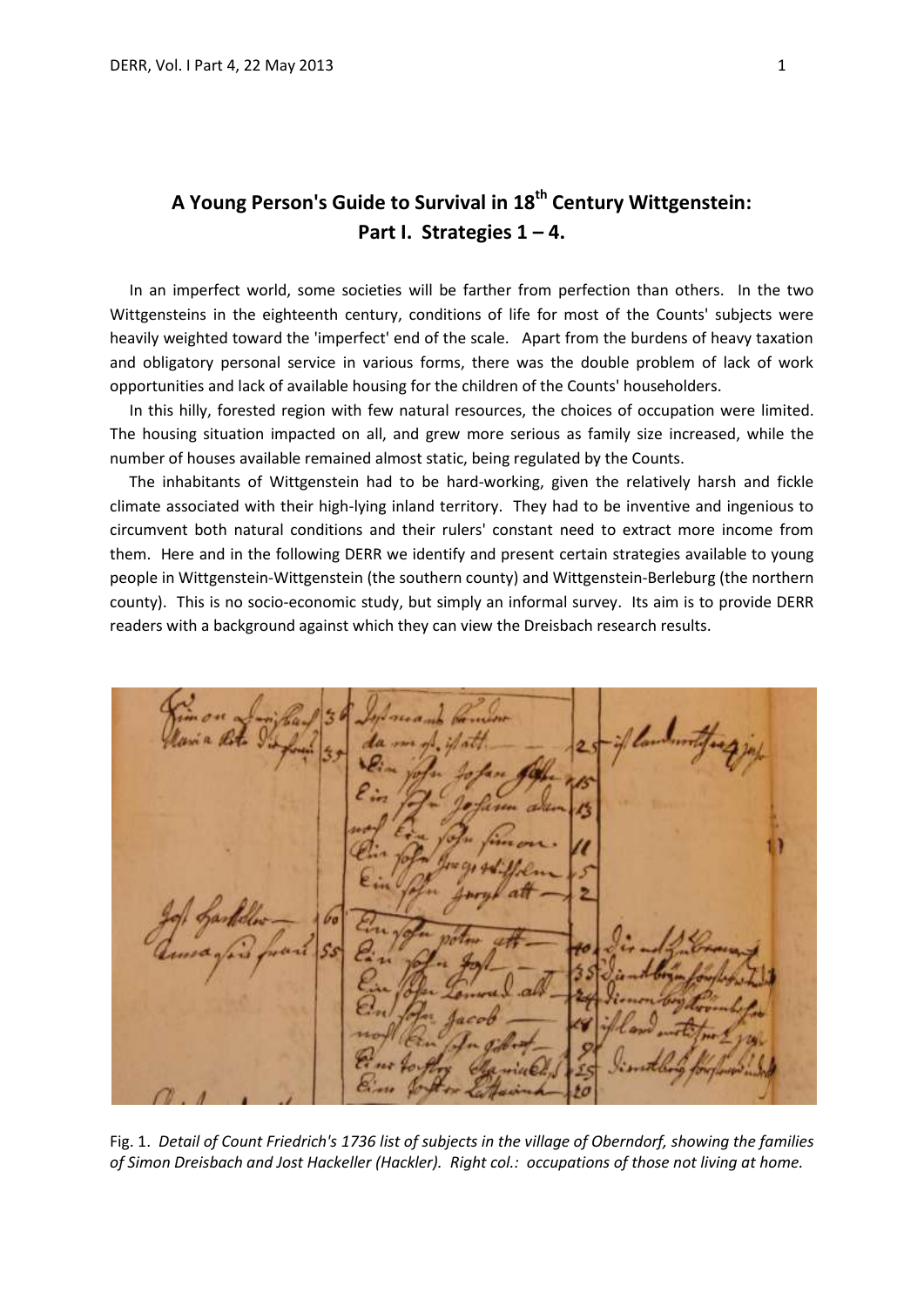# **A Young Person's Guide to Survival in 18th Century Wittgenstein: Part I. Strategies 1 – 4.**

 In an imperfect world, some societies will be farther from perfection than others. In the two Wittgensteins in the eighteenth century, conditions of life for most of the Counts' subjects were heavily weighted toward the 'imperfect' end of the scale. Apart from the burdens of heavy taxation and obligatory personal service in various forms, there was the double problem of lack of work opportunities and lack of available housing for the children of the Counts' householders.

 In this hilly, forested region with few natural resources, the choices of occupation were limited. The housing situation impacted on all, and grew more serious as family size increased, while the number of houses available remained almost static, being regulated by the Counts.

 The inhabitants of Wittgenstein had to be hard-working, given the relatively harsh and fickle climate associated with their high-lying inland territory. They had to be inventive and ingenious to circumvent both natural conditions and their rulers' constant need to extract more income from them. Here and in the following DERR we identify and present certain strategies available to young people in Wittgenstein-Wittgenstein (the southern county) and Wittgenstein-Berleburg (the northern county). This is no socio-economic study, but simply an informal survey. Its aim is to provide DERR readers with a background against which they can view the Dreisbach research results.

Fig. 1. *Detail of Count Friedrich's 1736 list of subjects in the village of Oberndorf, showing the families of Simon Dreisbach and Jost Hackeller (Hackler). Right col.: occupations of those not living at home.*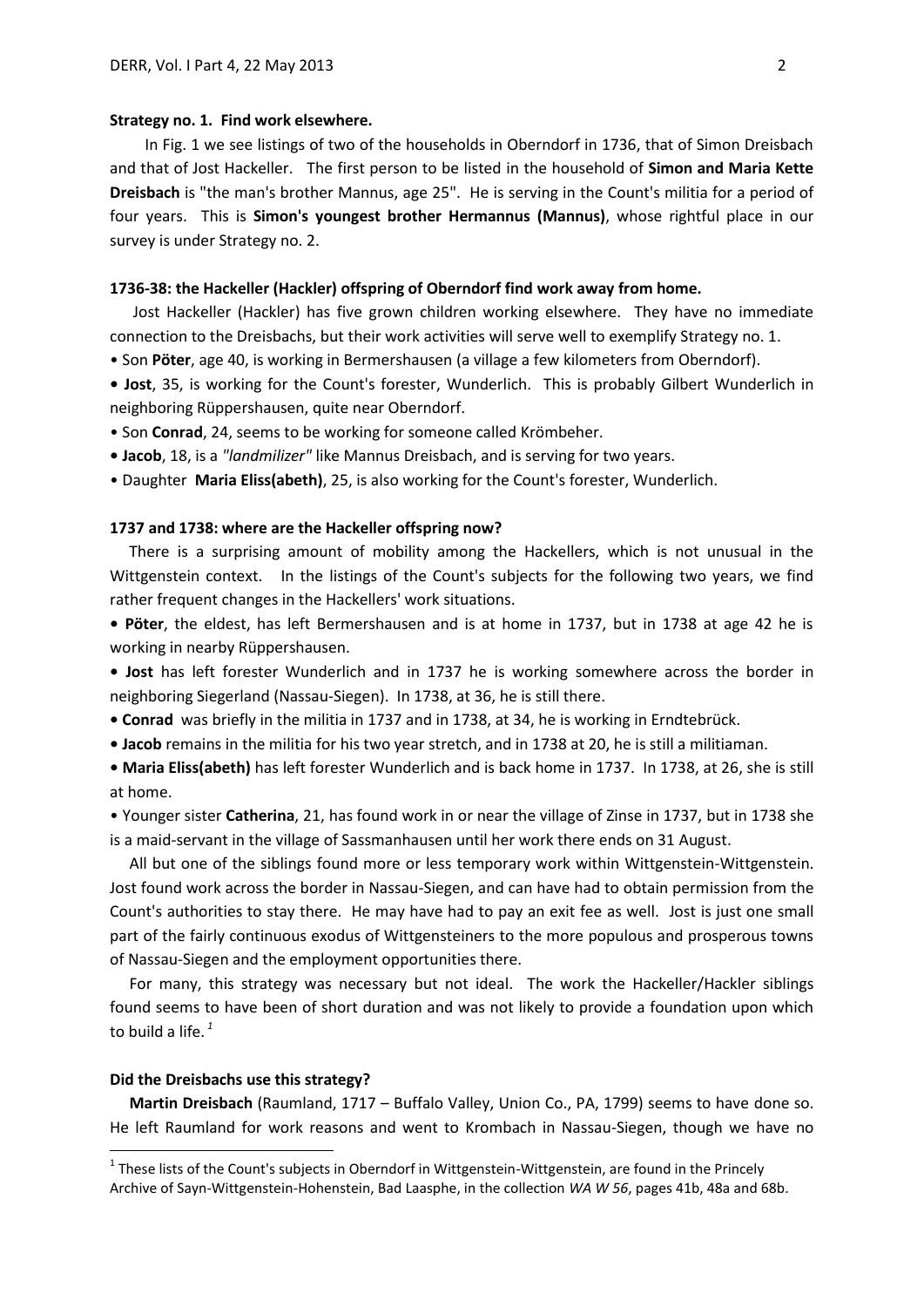### **Strategy no. 1. Find work elsewhere.**

In Fig. 1 we see listings of two of the households in Oberndorf in 1736, that of Simon Dreisbach and that of Jost Hackeller. The first person to be listed in the household of **Simon and Maria Kette Dreisbach** is "the man's brother Mannus, age 25". He is serving in the Count's militia for a period of four years. This is **Simon's youngest brother Hermannus (Mannus)**, whose rightful place in our survey is under Strategy no. 2.

# **1736-38: the Hackeller (Hackler) offspring of Oberndorf find work away from home.**

 Jost Hackeller (Hackler) has five grown children working elsewhere. They have no immediate connection to the Dreisbachs, but their work activities will serve well to exemplify Strategy no. 1.

• Son **Pöter**, age 40, is working in Bermershausen (a village a few kilometers from Oberndorf).

- **Jost**, 35, is working for the Count's forester, Wunderlich. This is probably Gilbert Wunderlich in neighboring Rüppershausen, quite near Oberndorf.
- Son **Conrad**, 24, seems to be working for someone called Krömbeher.
- **Jacob**, 18, is a *"landmilizer"* like Mannus Dreisbach, and is serving for two years.
- Daughter **Maria Eliss(abeth)**, 25, is also working for the Count's forester, Wunderlich.

### **1737 and 1738: where are the Hackeller offspring now?**

 There is a surprising amount of mobility among the Hackellers, which is not unusual in the Wittgenstein context. In the listings of the Count's subjects for the following two years, we find rather frequent changes in the Hackellers' work situations.

**• Pöter**, the eldest, has left Bermershausen and is at home in 1737, but in 1738 at age 42 he is working in nearby Rüppershausen.

**• Jost** has left forester Wunderlich and in 1737 he is working somewhere across the border in neighboring Siegerland (Nassau-Siegen). In 1738, at 36, he is still there.

- **Conrad** was briefly in the militia in 1737 and in 1738, at 34, he is working in Erndtebrück.
- **Jacob** remains in the militia for his two year stretch, and in 1738 at 20, he is still a militiaman.

**• Maria Eliss(abeth)** has left forester Wunderlich and is back home in 1737. In 1738, at 26, she is still at home.

• Younger sister **Catherina**, 21, has found work in or near the village of Zinse in 1737, but in 1738 she is a maid-servant in the village of Sassmanhausen until her work there ends on 31 August.

 All but one of the siblings found more or less temporary work within Wittgenstein-Wittgenstein. Jost found work across the border in Nassau-Siegen, and can have had to obtain permission from the Count's authorities to stay there. He may have had to pay an exit fee as well. Jost is just one small part of the fairly continuous exodus of Wittgensteiners to the more populous and prosperous towns of Nassau-Siegen and the employment opportunities there.

 For many, this strategy was necessary but not ideal. The work the Hackeller/Hackler siblings found seems to have been of short duration and was not likely to provide a foundation upon which to build a life. *<sup>1</sup>*

#### **Did the Dreisbachs use this strategy?**

1

 **Martin Dreisbach** (Raumland, 1717 – Buffalo Valley, Union Co., PA, 1799) seems to have done so. He left Raumland for work reasons and went to Krombach in Nassau-Siegen, though we have no

 $1$  These lists of the Count's subjects in Oberndorf in Wittgenstein-Wittgenstein, are found in the Princely Archive of Sayn-Wittgenstein-Hohenstein, Bad Laasphe, in the collection *WA W 56*, pages 41b, 48a and 68b.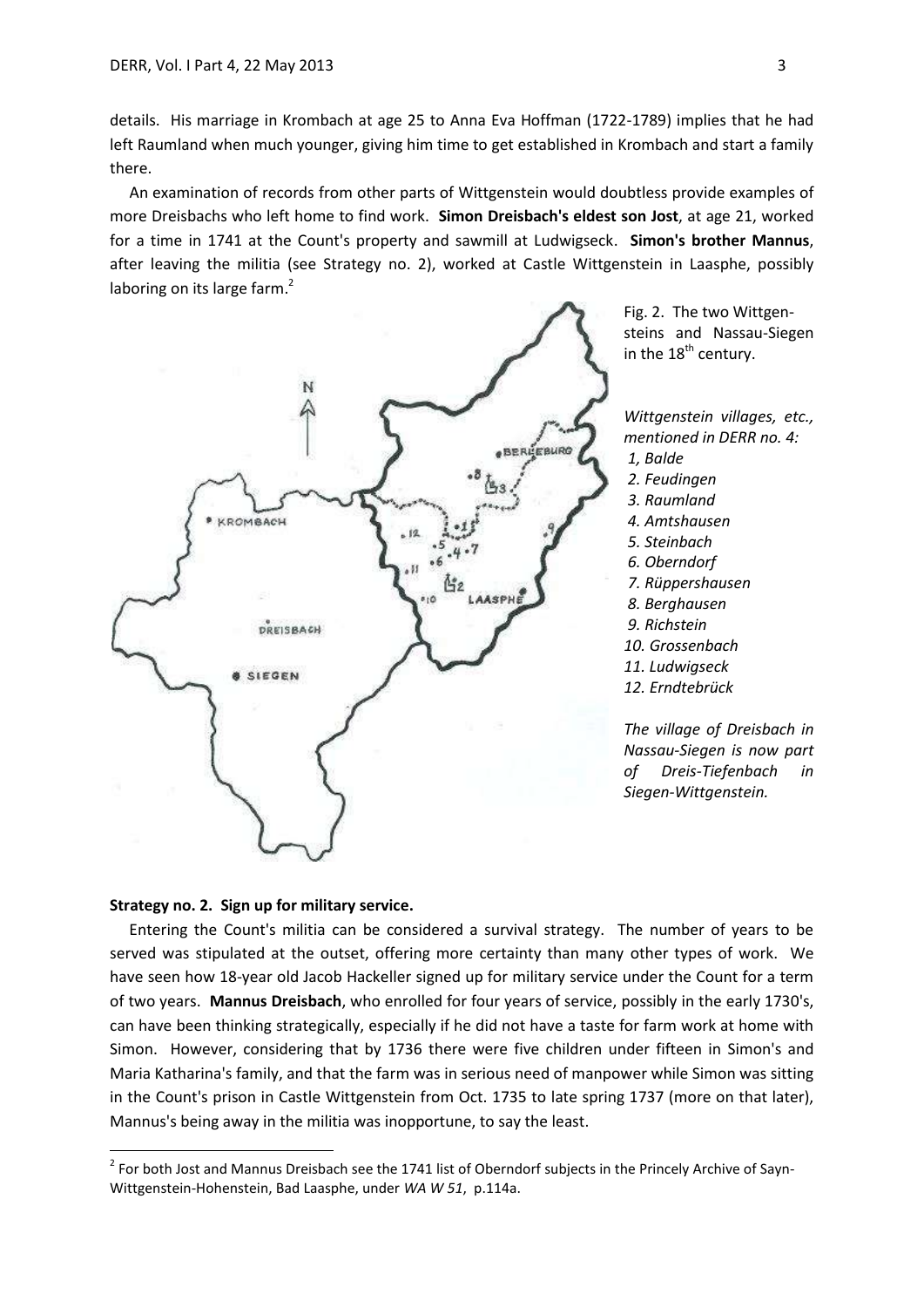details. His marriage in Krombach at age 25 to Anna Eva Hoffman (1722-1789) implies that he had left Raumland when much younger, giving him time to get established in Krombach and start a family there.

 An examination of records from other parts of Wittgenstein would doubtless provide examples of more Dreisbachs who left home to find work. **Simon Dreisbach's eldest son Jost**, at age 21, worked for a time in 1741 at the Count's property and sawmill at Ludwigseck. **Simon's brother Mannus**, after leaving the militia (see Strategy no. 2), worked at Castle Wittgenstein in Laasphe, possibly laboring on its large farm.<sup>2</sup>



Fig. 2. The two Wittgensteins and Nassau-Siegen in the  $18<sup>th</sup>$  century.

*Wittgenstein villages, etc., mentioned in DERR no. 4: 1, Balde 2. Feudingen 3. Raumland 4. Amtshausen 5. Steinbach 6. Oberndorf 7. Rüppershausen 8. Berghausen 9. Richstein 10. Grossenbach 11. Ludwigseck*

*12. Erndtebrück*

*The village of Dreisbach in Nassau-Siegen is now part of Dreis-Tiefenbach in Siegen-Wittgenstein.*

# **Strategy no. 2. Sign up for military service.**

1

 Entering the Count's militia can be considered a survival strategy. The number of years to be served was stipulated at the outset, offering more certainty than many other types of work. We have seen how 18-year old Jacob Hackeller signed up for military service under the Count for a term of two years. **Mannus Dreisbach**, who enrolled for four years of service, possibly in the early 1730's, can have been thinking strategically, especially if he did not have a taste for farm work at home with Simon. However, considering that by 1736 there were five children under fifteen in Simon's and Maria Katharina's family, and that the farm was in serious need of manpower while Simon was sitting in the Count's prison in Castle Wittgenstein from Oct. 1735 to late spring 1737 (more on that later), Mannus's being away in the militia was inopportune, to say the least.

 $2$  For both Jost and Mannus Dreisbach see the 1741 list of Oberndorf subjects in the Princely Archive of Sayn-Wittgenstein-Hohenstein, Bad Laasphe, under *WA W 51*, p.114a.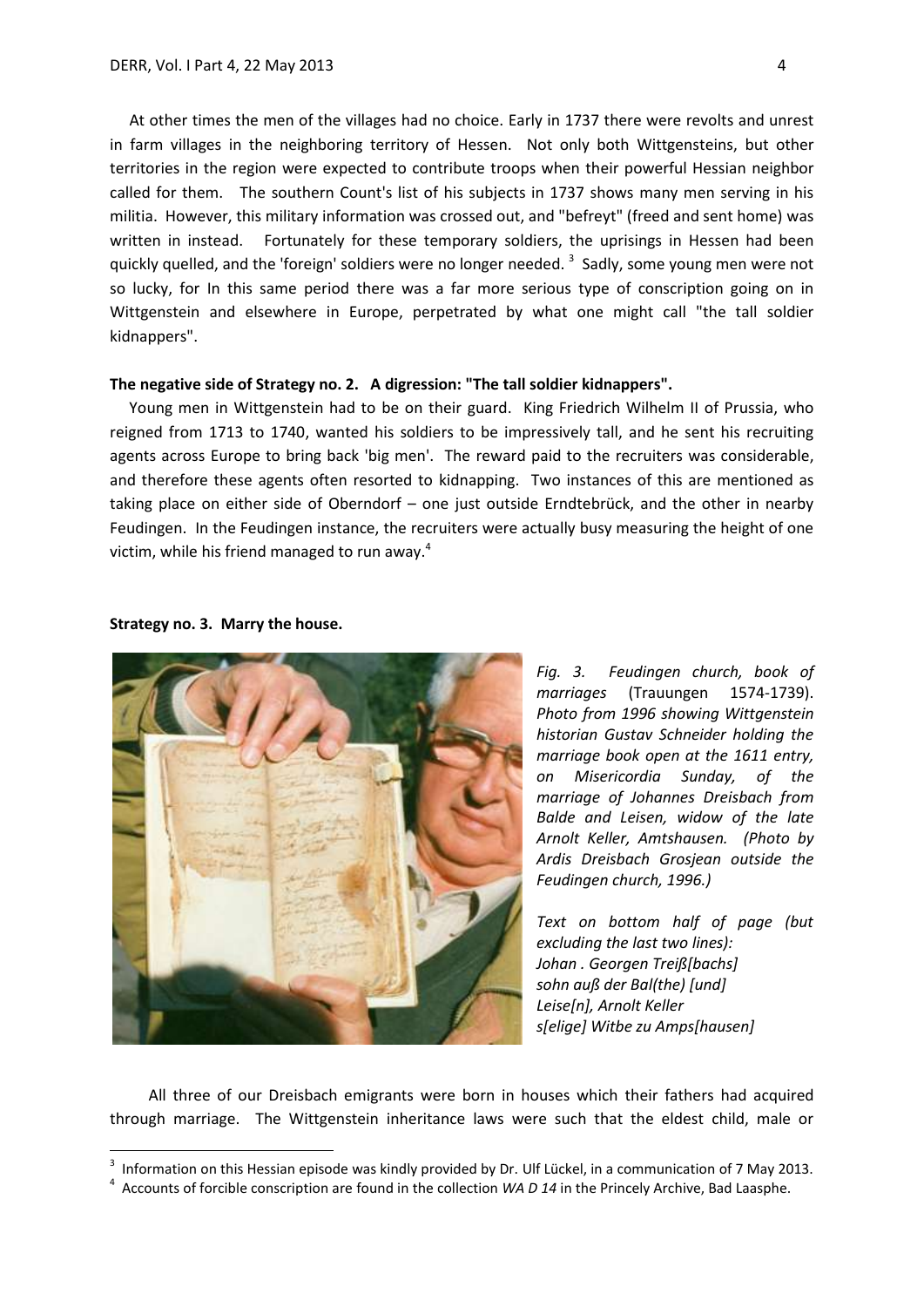At other times the men of the villages had no choice. Early in 1737 there were revolts and unrest in farm villages in the neighboring territory of Hessen. Not only both Wittgensteins, but other territories in the region were expected to contribute troops when their powerful Hessian neighbor called for them. The southern Count's list of his subjects in 1737 shows many men serving in his militia. However, this military information was crossed out, and "befreyt" (freed and sent home) was written in instead. Fortunately for these temporary soldiers, the uprisings in Hessen had been quickly quelled, and the 'foreign' soldiers were no longer needed. <sup>3</sup> Sadly, some young men were not so lucky, for In this same period there was a far more serious type of conscription going on in Wittgenstein and elsewhere in Europe, perpetrated by what one might call "the tall soldier kidnappers".

## **The negative side of Strategy no. 2. A digression: "The tall soldier kidnappers".**

 Young men in Wittgenstein had to be on their guard. King Friedrich Wilhelm II of Prussia, who reigned from 1713 to 1740, wanted his soldiers to be impressively tall, and he sent his recruiting agents across Europe to bring back 'big men'. The reward paid to the recruiters was considerable, and therefore these agents often resorted to kidnapping. Two instances of this are mentioned as taking place on either side of Oberndorf – one just outside Erndtebrück, and the other in nearby Feudingen. In the Feudingen instance, the recruiters were actually busy measuring the height of one victim, while his friend managed to run away. 4



### **Strategy no. 3. Marry the house.**

1

*Fig. 3. Feudingen church, book of marriages* (Trauungen 1574-1739). *Photo from 1996 showing Wittgenstein historian Gustav Schneider holding the marriage book open at the 1611 entry, on Misericordia Sunday, of the marriage of Johannes Dreisbach from Balde and Leisen, widow of the late Arnolt Keller, Amtshausen. (Photo by Ardis Dreisbach Grosjean outside the Feudingen church, 1996.)*

*Text on bottom half of page (but excluding the last two lines): Johan . Georgen Treiß[bachs] sohn auß der Bal(the) [und] Leise[n], Arnolt Keller s[elige] Witbe zu Amps[hausen]*

 All three of our Dreisbach emigrants were born in houses which their fathers had acquired through marriage. The Wittgenstein inheritance laws were such that the eldest child, male or

<sup>3</sup> Information on this Hessian episode was kindly provided by Dr. Ulf Lückel, in a communication of 7 May 2013.

<sup>4</sup> Accounts of forcible conscription are found in the collection *WA D 14* in the Princely Archive, Bad Laasphe.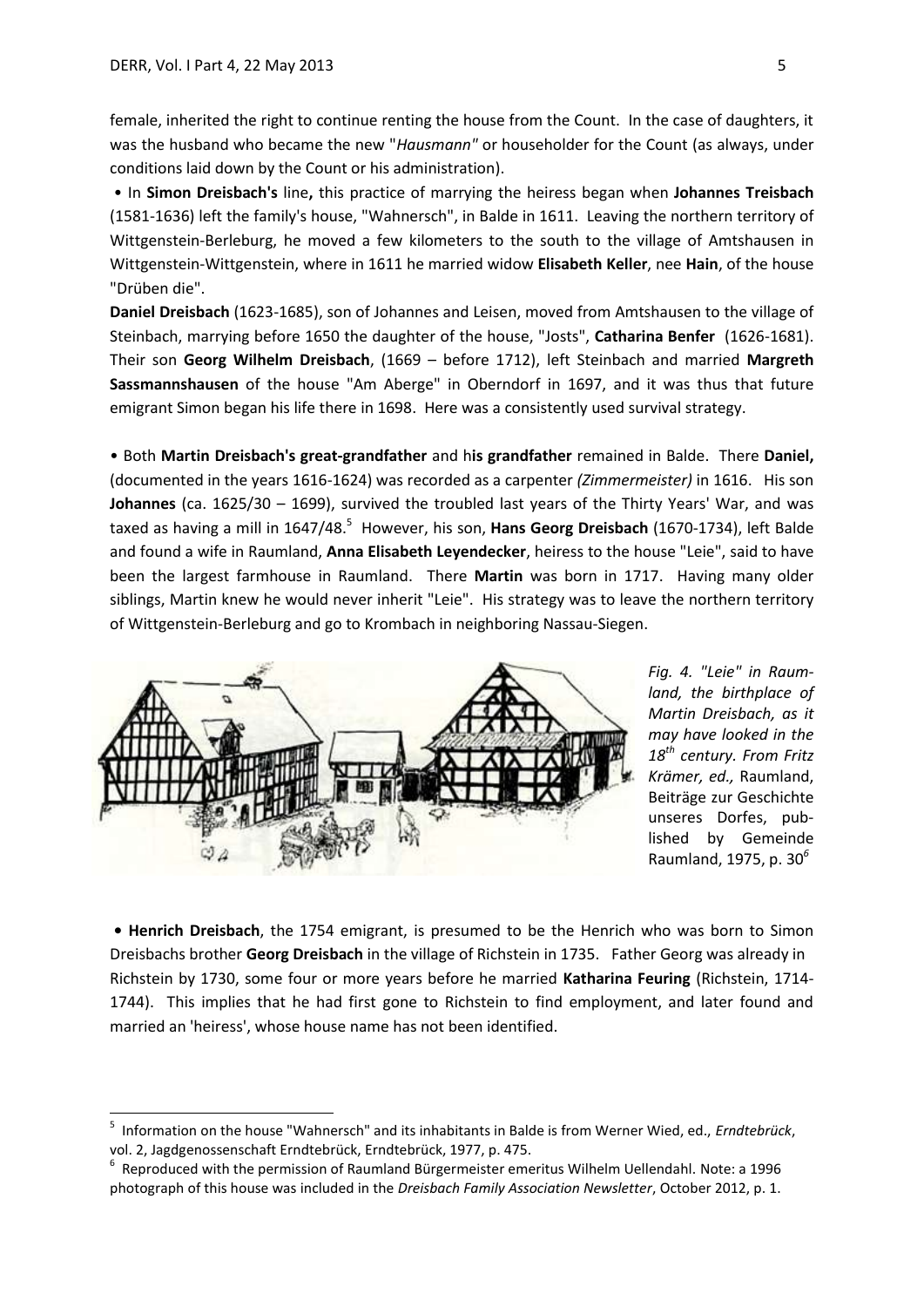1

female, inherited the right to continue renting the house from the Count. In the case of daughters, it was the husband who became the new "*Hausmann"* or householder for the Count (as always, under conditions laid down by the Count or his administration).

• In **Simon Dreisbach's** line**,** this practice of marrying the heiress began when **Johannes Treisbach** (1581-1636) left the family's house, "Wahnersch", in Balde in 1611. Leaving the northern territory of Wittgenstein-Berleburg, he moved a few kilometers to the south to the village of Amtshausen in Wittgenstein-Wittgenstein, where in 1611 he married widow **Elisabeth Keller**, nee **Hain**, of the house "Drüben die".

**Daniel Dreisbach** (1623-1685), son of Johannes and Leisen, moved from Amtshausen to the village of Steinbach, marrying before 1650 the daughter of the house, "Josts", **Catharina Benfer** (1626-1681). Their son **Georg Wilhelm Dreisbach**, (1669 – before 1712), left Steinbach and married **Margreth Sassmannshausen** of the house "Am Aberge" in Oberndorf in 1697, and it was thus that future emigrant Simon began his life there in 1698. Here was a consistently used survival strategy.

• Both **Martin Dreisbach's great-grandfather** and h**is grandfather** remained in Balde. There **Daniel,** (documented in the years 1616-1624) was recorded as a carpenter *(Zimmermeister)* in 1616. His son **Johannes** (ca. 1625/30 – 1699), survived the troubled last years of the Thirty Years' War, and was taxed as having a mill in 1647/48.<sup>5</sup> However, his son, **Hans Georg Dreisbach** (1670-1734), left Balde and found a wife in Raumland, **Anna Elisabeth Leyendecker**, heiress to the house "Leie", said to have been the largest farmhouse in Raumland. There **Martin** was born in 1717. Having many older siblings, Martin knew he would never inherit "Leie". His strategy was to leave the northern territory of Wittgenstein-Berleburg and go to Krombach in neighboring Nassau-Siegen.



*Fig. 4. "Leie" in Raumland, the birthplace of Martin Dreisbach, as it may have looked in the 18th century. From Fritz Krämer, ed.,* Raumland, Beiträge zur Geschichte unseres Dorfes, published by Gemeinde Raumland, 1975, p. 30*<sup>6</sup>*

**• Henrich Dreisbach**, the 1754 emigrant, is presumed to be the Henrich who was born to Simon Dreisbachs brother **Georg Dreisbach** in the village of Richstein in 1735. Father Georg was already in Richstein by 1730, some four or more years before he married **Katharina Feuring** (Richstein, 1714- 1744). This implies that he had first gone to Richstein to find employment, and later found and married an 'heiress', whose house name has not been identified.

<sup>5</sup> Information on the house "Wahnersch" and its inhabitants in Balde is from Werner Wied, ed., *Erndtebrück*, vol. 2, Jagdgenossenschaft Erndtebrück, Erndtebrück, 1977, p. 475.

<sup>6</sup> Reproduced with the permission of Raumland Bürgermeister emeritus Wilhelm Uellendahl. Note: a 1996 photograph of this house was included in the *Dreisbach Family Association Newsletter*, October 2012, p. 1.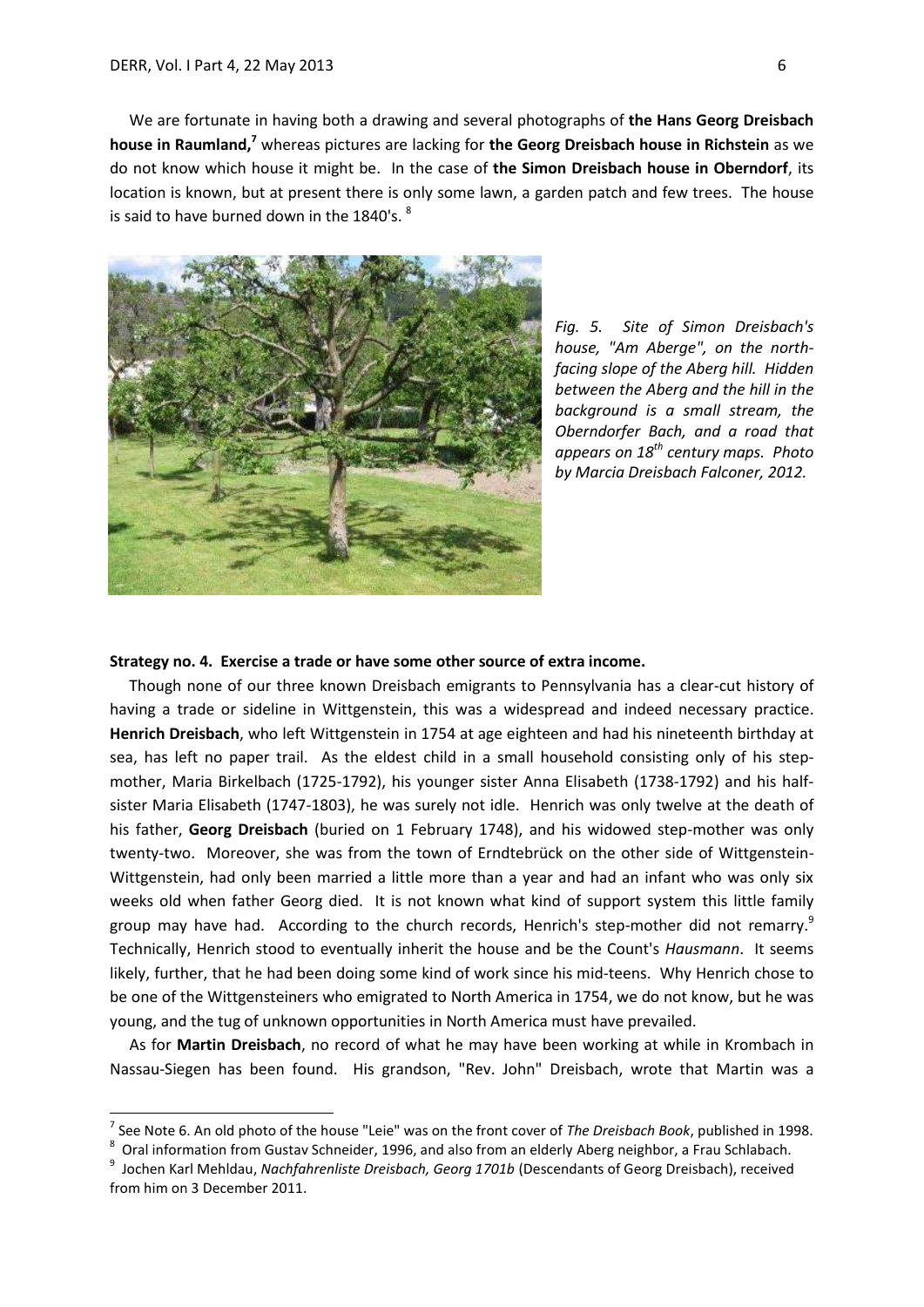1

 We are fortunate in having both a drawing and several photographs of **the Hans Georg Dreisbach house in Raumland, <sup>7</sup>** whereas pictures are lacking for **the Georg Dreisbach house in Richstein** as we do not know which house it might be. In the case of **the Simon Dreisbach house in Oberndorf**, its location is known, but at present there is only some lawn, a garden patch and few trees. The house is said to have burned down in the 1840's. <sup>8</sup>



*Fig. 5. Site of Simon Dreisbach's house, "Am Aberge", on the northfacing slope of the Aberg hill. Hidden between the Aberg and the hill in the background is a small stream, the Oberndorfer Bach, and a road that appears on 18th century maps. Photo by Marcia Dreisbach Falconer, 2012.* 

# **Strategy no. 4. Exercise a trade or have some other source of extra income.**

 Though none of our three known Dreisbach emigrants to Pennsylvania has a clear-cut history of having a trade or sideline in Wittgenstein, this was a widespread and indeed necessary practice. **Henrich Dreisbach**, who left Wittgenstein in 1754 at age eighteen and had his nineteenth birthday at sea, has left no paper trail. As the eldest child in a small household consisting only of his stepmother, Maria Birkelbach (1725-1792), his younger sister Anna Elisabeth (1738-1792) and his halfsister Maria Elisabeth (1747-1803), he was surely not idle. Henrich was only twelve at the death of his father, **Georg Dreisbach** (buried on 1 February 1748), and his widowed step-mother was only twenty-two. Moreover, she was from the town of Erndtebrück on the other side of Wittgenstein-Wittgenstein, had only been married a little more than a year and had an infant who was only six weeks old when father Georg died. It is not known what kind of support system this little family group may have had. According to the church records, Henrich's step-mother did not remarry. $^9$ Technically, Henrich stood to eventually inherit the house and be the Count's *Hausmann*. It seems likely, further, that he had been doing some kind of work since his mid-teens. Why Henrich chose to be one of the Wittgensteiners who emigrated to North America in 1754, we do not know, but he was young, and the tug of unknown opportunities in North America must have prevailed.

 As for **Martin Dreisbach**, no record of what he may have been working at while in Krombach in Nassau-Siegen has been found. His grandson, "Rev. John" Dreisbach, wrote that Martin was a

<sup>7</sup> See Note 6. An old photo of the house "Leie" was on the front cover of *The Dreisbach Book*, published in 1998.

 $^8$  Oral information from Gustav Schneider, 1996, and also from an elderly Aberg neighbor, a Frau Schlabach.

<sup>&</sup>lt;sup>9</sup> Jochen Karl Mehldau, *Nachfahrenliste Dreisbach, Georg 1701b* (Descendants of Georg Dreisbach), received from him on 3 December 2011.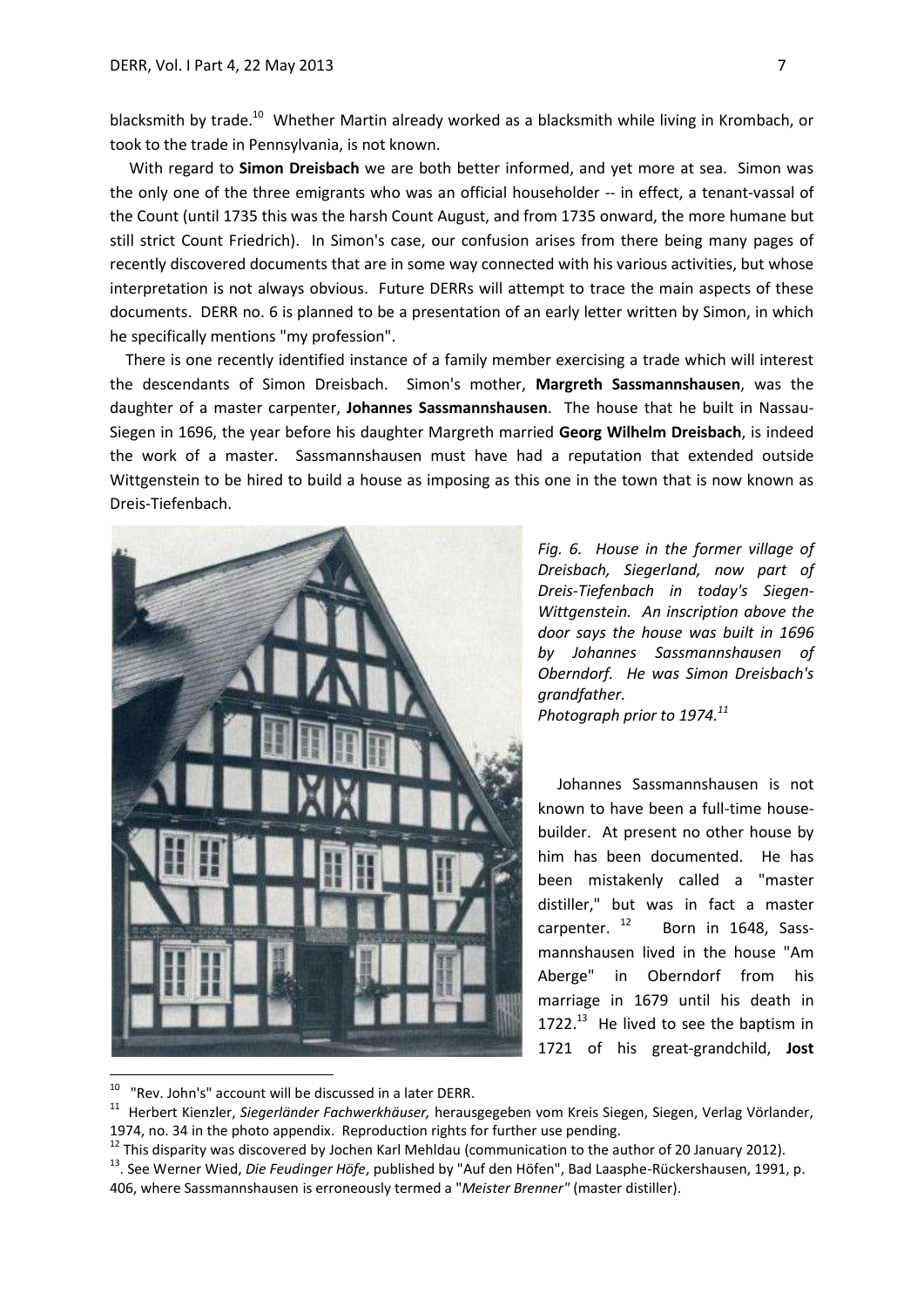blacksmith by trade.<sup>10</sup> Whether Martin already worked as a blacksmith while living in Krombach, or took to the trade in Pennsylvania, is not known.

 With regard to **Simon Dreisbach** we are both better informed, and yet more at sea. Simon was the only one of the three emigrants who was an official householder -- in effect, a tenant-vassal of the Count (until 1735 this was the harsh Count August, and from 1735 onward, the more humane but still strict Count Friedrich). In Simon's case, our confusion arises from there being many pages of recently discovered documents that are in some way connected with his various activities, but whose interpretation is not always obvious. Future DERRs will attempt to trace the main aspects of these documents. DERR no. 6 is planned to be a presentation of an early letter written by Simon, in which he specifically mentions "my profession".

 There is one recently identified instance of a family member exercising a trade which will interest the descendants of Simon Dreisbach. Simon's mother, **Margreth Sassmannshausen**, was the daughter of a master carpenter, **Johannes Sassmannshausen**. The house that he built in Nassau-Siegen in 1696, the year before his daughter Margreth married **Georg Wilhelm Dreisbach**, is indeed the work of a master. Sassmannshausen must have had a reputation that extended outside Wittgenstein to be hired to build a house as imposing as this one in the town that is now known as Dreis-Tiefenbach.



*Fig. 6. House in the former village of Dreisbach, Siegerland, now part of Dreis-Tiefenbach in today's Siegen-Wittgenstein. An inscription above the door says the house was built in 1696 by Johannes Sassmannshausen of Oberndorf. He was Simon Dreisbach's grandfather. Photograph prior to 1974. 11*

 Johannes Sassmannshausen is not known to have been a full-time housebuilder. At present no other house by him has been documented. He has been mistakenly called a "master distiller," but was in fact a master carpenter.<sup>12</sup> Born in 1648, Sassmannshausen lived in the house "Am Aberge" in Oberndorf from his marriage in 1679 until his death in 1722. $13$  He lived to see the baptism in

<sup>11</sup> Herbert Kienzler, *Siegerländer Fachwerkhäuser,* herausgegeben vom Kreis Siegen, Siegen, Verlag Vörlander, 1974, no. 34 in the photo appendix.Reproduction rights for further use pending.

 $10$  "Rev. John's" account will be discussed in a later DERR.

 $12$  This disparity was discovered by Jochen Karl Mehldau (communication to the author of 20 January 2012).

<sup>&</sup>lt;sup>13</sup>. See Werner Wied, *Die Feudinger Höfe*, published by "Auf den Höfen", Bad Laasphe-Rückershausen, 1991, p. 406, where Sassmannshausen is erroneously termed a "*Meister Brenner"* (master distiller).